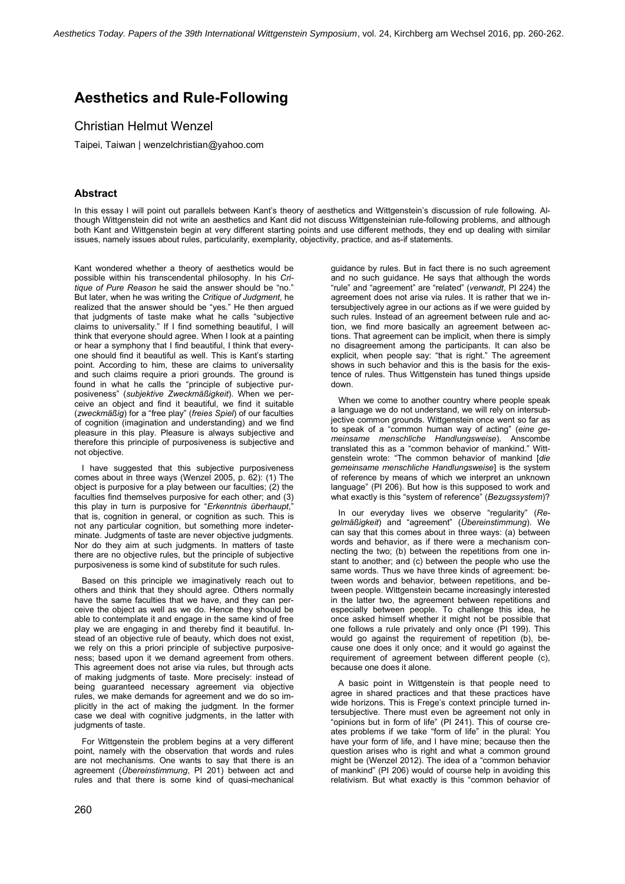# Aesthetics and Rule-Following

## Christian Helmut Wenzel

Taipei, Taiwan | wenzelchristian@yahoo.com

### Abstract

In this essay I will point out parallels between Kant's theory of aesthetics and Wittgenstein's discussion of rule following. Although Wittgenstein did not write an aesthetics and Kant did not discuss Wittgensteinian rule-following problems, and although both Kant and Wittgenstein begin at very different starting points and use different methods, they end up dealing with similar issues, namely issues about rules, particularity, exemplarity, objectivity, practice, and as-if statements.

Kant wondered whether a theory of aesthetics would be possible within his transcendental philosophy. In his Critique of Pure Reason he said the answer should be "no." But later, when he was writing the Critique of Judgment, he realized that the answer should be "yes." He then argued that judgments of taste make what he calls "subjective claims to universality." If I find something beautiful, I will think that everyone should agree. When I look at a painting or hear a symphony that I find beautiful, I think that everyone should find it beautiful as well. This is Kant's starting point. According to him, these are claims to universality and such claims require a priori grounds. The ground is found in what he calls the "principle of subjective purposiveness" (subjektive Zweckmäßigkeit). When we perceive an object and find it beautiful, we find it suitable (zweckmäßig) for a "free play" (freies Spiel) of our faculties of cognition (imagination and understanding) and we find pleasure in this play. Pleasure is always subjective and therefore this principle of purposiveness is subjective and not objective.

I have suggested that this subjective purposiveness comes about in three ways (Wenzel 2005, p. 62): (1) The object is purposive for a play between our faculties; (2) the faculties find themselves purposive for each other; and (3) this play in turn is purposive for "Erkenntnis überhaupt," that is, cognition in general, or cognition as such. This is not any particular cognition, but something more indeterminate. Judgments of taste are never objective judgments. Nor do they aim at such judgments. In matters of taste there are no objective rules, but the principle of subjective purposiveness is some kind of substitute for such rules.

Based on this principle we imaginatively reach out to others and think that they should agree. Others normally have the same faculties that we have, and they can perceive the object as well as we do. Hence they should be able to contemplate it and engage in the same kind of free play we are engaging in and thereby find it beautiful. Instead of an objective rule of beauty, which does not exist, we rely on this a priori principle of subjective purposiveness; based upon it we demand agreement from others. This agreement does not arise via rules, but through acts of making judgments of taste. More precisely: instead of being guaranteed necessary agreement via objective rules, we make demands for agreement and we do so implicitly in the act of making the judgment. In the former case we deal with cognitive judgments, in the latter with judgments of taste.

For Wittgenstein the problem begins at a very different point, namely with the observation that words and rules are not mechanisms. One wants to say that there is an agreement (Übereinstimmung, PI 201) between act and rules and that there is some kind of quasi-mechanical

guidance by rules. But in fact there is no such agreement and no such guidance. He says that although the words "rule" and "agreement" are "related" (verwandt, PI 224) the agreement does not arise via rules. It is rather that we intersubjectively agree in our actions as if we were guided by such rules. Instead of an agreement between rule and action, we find more basically an agreement between actions. That agreement can be implicit, when there is simply no disagreement among the participants. It can also be explicit, when people say: "that is right." The agreement shows in such behavior and this is the basis for the existence of rules. Thus Wittgenstein has tuned things upside down.

When we come to another country where people speak a language we do not understand, we will rely on intersubjective common grounds. Wittgenstein once went so far as to speak of a "common human way of acting" (eine gemeinsame menschliche Handlungsweise). Anscombe translated this as a "common behavior of mankind." Wittgenstein wrote: "The common behavior of mankind [die gemeinsame menschliche Handlungsweise] is the system of reference by means of which we interpret an unknown language" (PI 206). But how is this supposed to work and what exactly is this "system of reference" (Bezugssystem)?

In our everyday lives we observe "regularity" (Regelmäßigkeit) and "agreement" (Übereinstimmung). We can say that this comes about in three ways: (a) between words and behavior, as if there were a mechanism connecting the two; (b) between the repetitions from one instant to another; and (c) between the people who use the same words. Thus we have three kinds of agreement: between words and behavior, between repetitions, and between people. Wittgenstein became increasingly interested in the latter two, the agreement between repetitions and especially between people. To challenge this idea, he once asked himself whether it might not be possible that one follows a rule privately and only once (PI 199). This would go against the requirement of repetition (b), because one does it only once; and it would go against the requirement of agreement between different people (c), because one does it alone.

A basic point in Wittgenstein is that people need to agree in shared practices and that these practices have wide horizons. This is Frege's context principle turned intersubjective. There must even be agreement not only in "opinions but in form of life" (PI 241). This of course creates problems if we take "form of life" in the plural: You have your form of life, and I have mine; because then the question arises who is right and what a common ground might be (Wenzel 2012). The idea of a "common behavior of mankind" (PI 206) would of course help in avoiding this relativism. But what exactly is this "common behavior of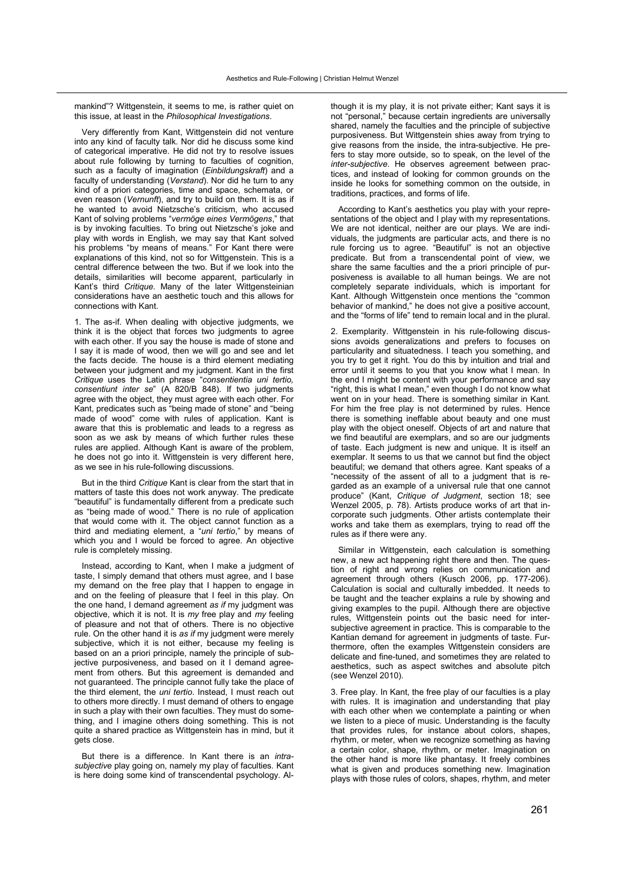mankind"? Wittgenstein, it seems to me, is rather quiet on this issue, at least in the Philosophical Investigations.

Very differently from Kant, Wittgenstein did not venture into any kind of faculty talk. Nor did he discuss some kind of categorical imperative. He did not try to resolve issues about rule following by turning to faculties of cognition, such as a faculty of imagination (Einbildungskraft) and a faculty of understanding (Verstand). Nor did he turn to any kind of a priori categories, time and space, schemata, or even reason (Vernunft), and try to build on them. It is as if he wanted to avoid Nietzsche's criticism, who accused Kant of solving problems "vermöge eines Vermögens," that is by invoking faculties. To bring out Nietzsche's joke and play with words in English, we may say that Kant solved his problems "by means of means." For Kant there were explanations of this kind, not so for Wittgenstein. This is a central difference between the two. But if we look into the details, similarities will become apparent, particularly in Kant's third Critique. Many of the later Wittgensteinian considerations have an aesthetic touch and this allows for connections with Kant.

1. The as-if. When dealing with objective judgments, we think it is the object that forces two judgments to agree with each other. If you say the house is made of stone and I say it is made of wood, then we will go and see and let the facts decide. The house is a third element mediating between your judgment and my judgment. Kant in the first Critique uses the Latin phrase "consentientia uni tertio,  $consentiunt$  inter se" (A 820/B 848). If two judgments agree with the object, they must agree with each other. For Kant, predicates such as "being made of stone" and "being made of wood" come with rules of application. Kant is aware that this is problematic and leads to a regress as soon as we ask by means of which further rules these rules are applied. Although Kant is aware of the problem, he does not go into it. Wittgenstein is very different here, as we see in his rule-following discussions.

But in the third Critique Kant is clear from the start that in matters of taste this does not work anyway. The predicate "beautiful" is fundamentally different from a predicate such as "being made of wood." There is no rule of application that would come with it. The object cannot function as a third and mediating element, a "uni tertio," by means of which you and I would be forced to agree. An objective rule is completely missing.

Instead, according to Kant, when I make a judgment of taste, I simply demand that others must agree, and I base my demand on the free play that I happen to engage in and on the feeling of pleasure that I feel in this play. On the one hand. I demand agreement as if my judgment was objective, which it is not. It is  $my$  free play and  $my$  feeling of pleasure and not that of others. There is no objective rule. On the other hand it is as if my judgment were merely subjective, which it is not either, because my feeling is based on an a priori principle, namely the principle of subjective purposiveness, and based on it I demand agreement from others. But this agreement is demanded and not guaranteed. The principle cannot fully take the place of the third element, the uni tertio. Instead, I must reach out to others more directly. I must demand of others to engage in such a play with their own faculties. They must do something, and I imagine others doing something. This is not quite a shared practice as Wittgenstein has in mind, but it gets close.

But there is a difference. In Kant there is an intrasubjective play going on, namely my play of faculties. Kant is here doing some kind of transcendental psychology. Although it is my play, it is not private either; Kant says it is not "personal." because certain ingredients are universally shared, namely the faculties and the principle of subjective purposiveness. But Wittgenstein shies away from trying to give reasons from the inside, the intra-subjective. He prefers to stay more outside, so to speak, on the level of the inter-subjective. He observes agreement between practices, and instead of looking for common grounds on the inside he looks for something common on the outside, in traditions, practices, and forms of life.

According to Kant's aesthetics you play with your representations of the object and I play with my representations. We are not identical, neither are our plays. We are individuals, the judgments are particular acts, and there is no rule forcing us to agree. "Beautiful" is not an objective predicate. But from a transcendental point of view, we share the same faculties and the a priori principle of purposiveness is available to all human beings. We are not completely separate individuals, which is important for Kant. Although Wittgenstein once mentions the "common behavior of mankind," he does not give a positive account, and the "forms of life" tend to remain local and in the plural.

2. Exemplarity. Wittgenstein in his rule-following discussions avoids generalizations and prefers to focuses on particularity and situatedness. I teach you something, and you try to get it right. You do this by intuition and trial and error until it seems to you that you know what I mean. In the end I might be content with your performance and say "right, this is what I mean," even though I do not know what went on in your head. There is something similar in Kant. For him the free play is not determined by rules. Hence there is something ineffable about beauty and one must play with the object oneself. Objects of art and nature that we find beautiful are exemplars, and so are our judgments of taste. Each judgment is new and unique. It is itself an exemplar. It seems to us that we cannot but find the object beautiful; we demand that others agree. Kant speaks of a necessity of the assent of all to a judgment that is regarded as an example of a universal rule that one cannot produce" (Kant, Critique of Judgment, section 18; see Wenzel 2005, p. 78). Artists produce works of art that incorporate such judgments. Other artists contemplate their works and take them as exemplars, trying to read off the rules as if there were any.

Similar in Wittgenstein, each calculation is something new, a new act happening right there and then. The question of right and wrong relies on communication and agreement through others (Kusch 2006, pp. 177-206). Calculation is social and culturally imbedded. It needs to be taught and the teacher explains a rule by showing and giving examples to the pupil. Although there are objective rules, Wittgenstein points out the basic need for intersubjective agreement in practice. This is comparable to the Kantian demand for agreement in judgments of taste. Furthermore, often the examples Wittgenstein considers are delicate and fine-tuned, and sometimes they are related to aesthetics, such as aspect switches and absolute pitch (see Wenzel 2010).

3. Free play. In Kant, the free play of our faculties is a play with rules. It is imagination and understanding that play with each other when we contemplate a painting or when we listen to a piece of music. Understanding is the faculty that provides rules, for instance about colors, shapes, rhythm, or meter, when we recognize something as having a certain color, shape, rhythm, or meter. Imagination on the other hand is more like phantasy. It freely combines what is given and produces something new. Imagination plays with those rules of colors, shapes, rhythm, and meter